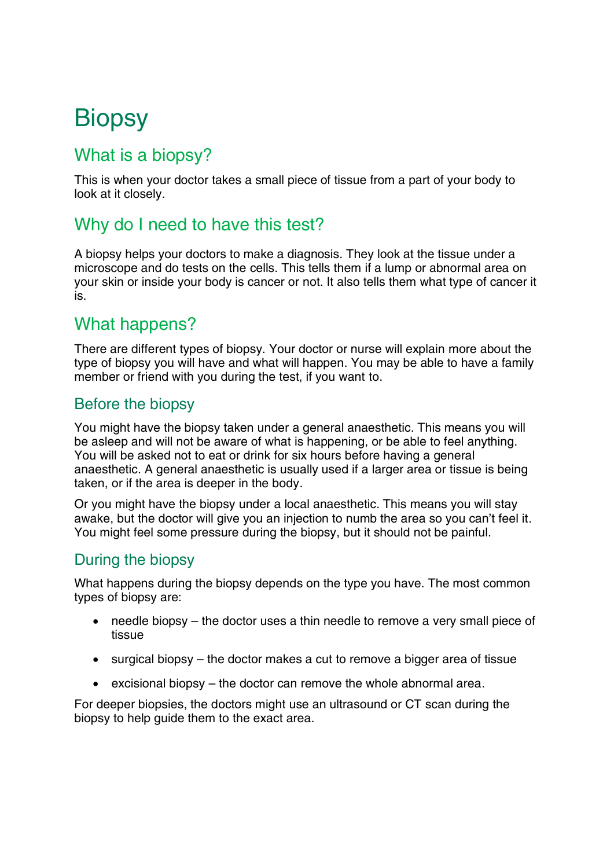# **Biopsy**

## What is a biopsy?

This is when your doctor takes a small piece of tissue from a part of your body to look at it closely.

# Why do I need to have this test?

A biopsy helps your doctors to make a diagnosis. They look at the tissue under a microscope and do tests on the cells. This tells them if a lump or abnormal area on your skin or inside your body is cancer or not. It also tells them what type of cancer it is.

## What happens?

There are different types of biopsy. Your doctor or nurse will explain more about the type of biopsy you will have and what will happen. You may be able to have a family member or friend with you during the test, if you want to.

#### Before the biopsy

You might have the biopsy taken under a general anaesthetic. This means you will be asleep and will not be aware of what is happening, or be able to feel anything. You will be asked not to eat or drink for six hours before having a general anaesthetic. A general anaesthetic is usually used if a larger area or tissue is being taken, or if the area is deeper in the body.

Or you might have the biopsy under a local anaesthetic. This means you will stay awake, but the doctor will give you an injection to numb the area so you can't feel it. You might feel some pressure during the biopsy, but it should not be painful.

#### During the biopsy

What happens during the biopsy depends on the type you have. The most common types of biopsy are:

- needle biopsy the doctor uses a thin needle to remove a very small piece of tissue
- surgical biopsy the doctor makes a cut to remove a bigger area of tissue
- excisional biopsy the doctor can remove the whole abnormal area.

For deeper biopsies, the doctors might use an ultrasound or CT scan during the biopsy to help guide them to the exact area.